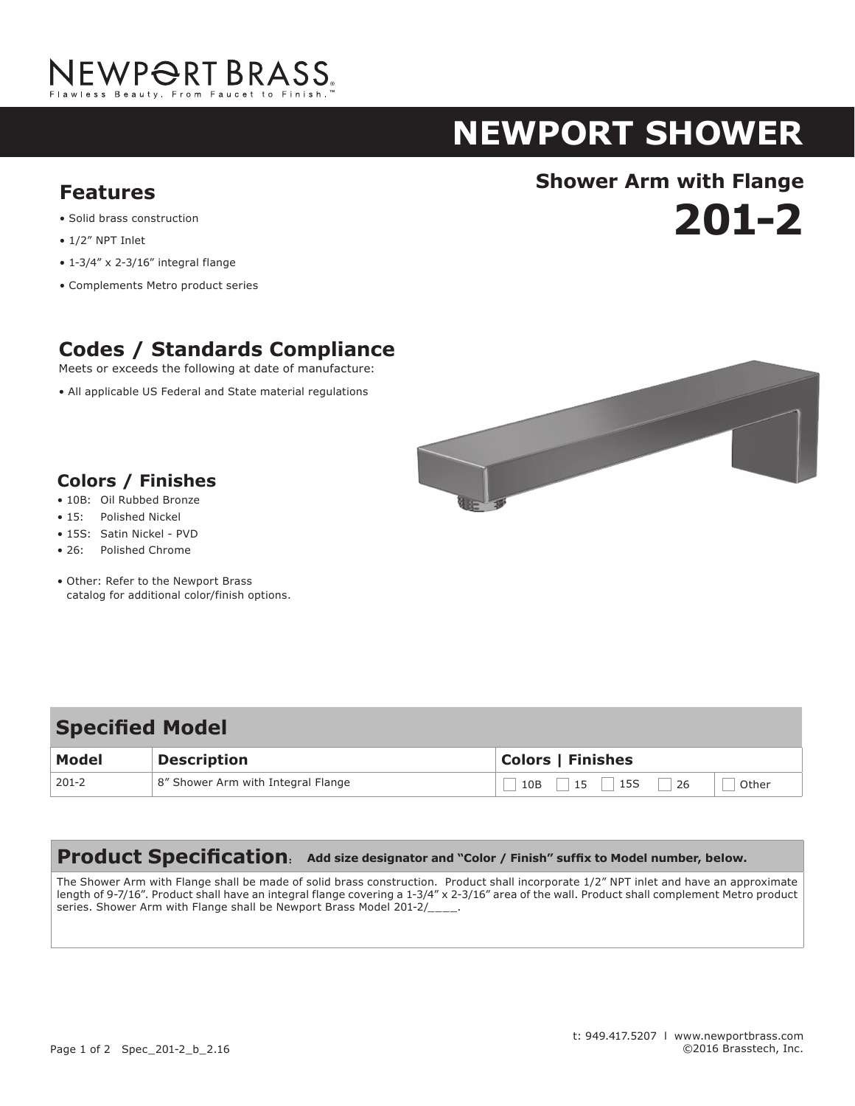

# **NEWPORT shower**

**201-2**

# **Shower Arm with Flange Features**

- Solid brass construction
- 1/2" NPT Inlet
- 1-3/4" x 2-3/16" integral flange
- Complements Metro product series

## **Codes / Standards Compliance**

Meets or exceeds the following at date of manufacture:

• All applicable US Federal and State material regulations



### **Colors / Finishes**

- 10B: Oil Rubbed Bronze
- 15: Polished Nickel
- 15S: Satin Nickel PVD
- 26: Polished Chrome
- Other: Refer to the Newport Brass catalog for additional color/finish options.

### 10B 15 15S 26 Other **Specified Model Model Description Colors | Finishes** 201-2 8" Shower Arm with Integral Flange

#### **Product Specification: Add size designator and "Color / Finish" suffix to Model number, below.**

The Shower Arm with Flange shall be made of solid brass construction. Product shall incorporate 1/2" NPT inlet and have an approximate length of 9-7/16". Product shall have an integral flange covering a 1-3/4" x 2-3/16" area of the wall. Product shall complement Metro product series. Shower Arm with Flange shall be Newport Brass Model 201-2/\_\_\_\_.